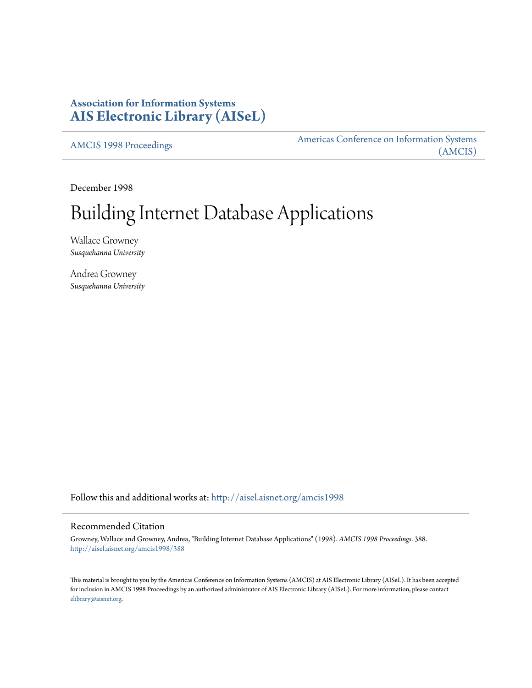# **Association for Information Systems [AIS Electronic Library \(AISeL\)](http://aisel.aisnet.org?utm_source=aisel.aisnet.org%2Famcis1998%2F388&utm_medium=PDF&utm_campaign=PDFCoverPages)**

[AMCIS 1998 Proceedings](http://aisel.aisnet.org/amcis1998?utm_source=aisel.aisnet.org%2Famcis1998%2F388&utm_medium=PDF&utm_campaign=PDFCoverPages)

[Americas Conference on Information Systems](http://aisel.aisnet.org/amcis?utm_source=aisel.aisnet.org%2Famcis1998%2F388&utm_medium=PDF&utm_campaign=PDFCoverPages) [\(AMCIS\)](http://aisel.aisnet.org/amcis?utm_source=aisel.aisnet.org%2Famcis1998%2F388&utm_medium=PDF&utm_campaign=PDFCoverPages)

December 1998

# Building Internet Database Applications

Wallace Growney *Susquehanna University*

Andrea Growney *Susquehanna University*

Follow this and additional works at: [http://aisel.aisnet.org/amcis1998](http://aisel.aisnet.org/amcis1998?utm_source=aisel.aisnet.org%2Famcis1998%2F388&utm_medium=PDF&utm_campaign=PDFCoverPages)

### Recommended Citation

Growney, Wallace and Growney, Andrea, "Building Internet Database Applications" (1998). *AMCIS 1998 Proceedings*. 388. [http://aisel.aisnet.org/amcis1998/388](http://aisel.aisnet.org/amcis1998/388?utm_source=aisel.aisnet.org%2Famcis1998%2F388&utm_medium=PDF&utm_campaign=PDFCoverPages)

This material is brought to you by the Americas Conference on Information Systems (AMCIS) at AIS Electronic Library (AISeL). It has been accepted for inclusion in AMCIS 1998 Proceedings by an authorized administrator of AIS Electronic Library (AISeL). For more information, please contact [elibrary@aisnet.org.](mailto:elibrary@aisnet.org%3E)